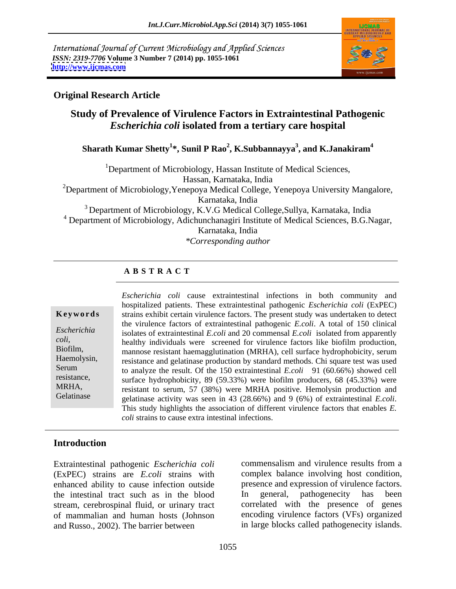International Journal of Current Microbiology and Applied Sciences *ISSN: 2319-7706* **Volume 3 Number 7 (2014) pp. 1055-1061 <http://www.ijcmas.com>**



# **Original Research Article**

# **Study of Prevalence of Virulence Factors in Extraintestinal Pathogenic**  *Escherichia coli* **isolated from a tertiary care hospital**

### $\boldsymbol{\mathrm{S}}$ harath Kumar Shetty $^{1*}$ , Sunil P Rao $^{2}$ , K.Subbannayya $^{3}$ , and K.Janakiram $^{4}$ **, and K.Janakiram<sup>4</sup>**

<sup>1</sup>Department of Microbiology, Hassan Institute of Medical Sciences,

Hassan, Karnataka, India

<sup>2</sup>Department of Microbiology, Yenepoya Medical College, Yenepoya University Mangalore, Karnataka, India

3 Department of Microbiology, K.V.G Medical College,Sullya, Karnataka, India 4 Department of Microbiology, Adichunchanagiri Institute of Medical Sciences, B.G.Nagar, Karnataka, India

*\*Corresponding author*

# **A B S T R A C T**

**Keywords** strains exhibit certain virulence factors. The present study was undertaken to detect *Escherichia*  isolates of extraintestinal *E.coli* and 20 commensal *E.coli* isolated from apparently *coli,* healthy individuals were screened for virulence factors like biofilm production, Biofilm, mannose resistant haemagglutination (MRHA), cell surface hydrophobicity, serum Haemolysin, resistance and gelatinase production by standard methods. Chi square test was used Serum to analyze the result. Of the 150 extraintestinal *E.coli* 91 (60.66%) showed cell resistance, surface hydrophobicity, 89 (59.33%) were biofilm producers, 68 (45.33%) were MRHA,<br>
resistant to serum, 57 (38%) were MRHA positive. Hemolysin production and Gelatinase gelatinase activity was seen in 43 (28.66%) and 9 (6%) of extraintestinal *E.coli*.<br>This study highlights the association of different virulence factors that enables *E*. *Escherichia coli* cause extraintestinal infections in both community and hospitalized patients. These extraintestinal pathogenic *Escherichia coli* (ExPEC) the virulence factors of extraintestinal pathogenic *E.coli*. A total of 150 clinical healthy individuals were screened for virulence factors like biofilm production,<br>mannose resistant haemagglutination (MRHA), cell surface hydrophobicity, serum *coli* strains to cause extra intestinal infections.

# **Introduction**

(ExPEC) strains are *E.coli* strains with enhanced ability to cause infection outside the intestinal tract such as in the blood stream, cerebrospinal fluid, or urinary tract and Russo., 2002). The barrier between

Extraintestinal pathogenic *Escherichia coli* of mammalian and human hosts (Johnson encoding virulence factors (VFs) organized commensalism and virulence results from a complex balance involving host condition, presence and expression of virulence factors. In general, pathogenecity has been correlated with the presence of genes in large blocks called pathogenecity islands.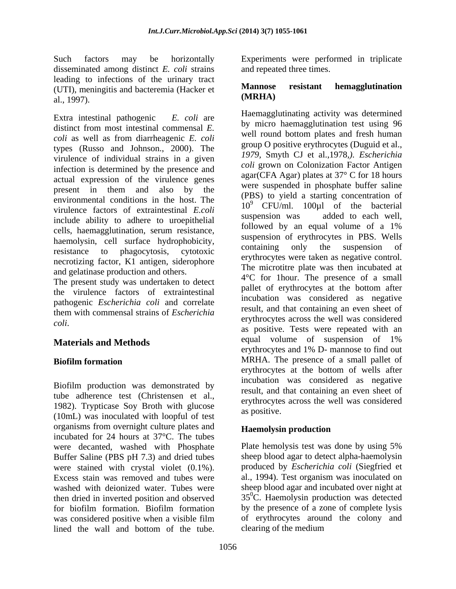disseminated among distinct *E. coli* strains leading to infections of the urinary tract<br>(ITI) moningitis and becteromic (Hecker et **Mannose** resistant hemagglutination (UTI), meningitis and bacteremia (Hacker et **Mannose**<br>(**MRHA**) al., 1997). *IDENTER* 

Extra intestinal pathogenic *E. coli* are *coli* as well as from diarrheagenic *E. coli* types (Russo and Johnson., 2000). The virulence of individual strains in a given infection is determined by the presence and actual expression of the virulence genes environmental conditions in the host. The virulence factors of extraintestinal *E.coli* and CFU/IIII. 100 pm of the bacterial virulence factors of extraintestinal *E.coli* suspension was added to each well, include ability to adhere to uroepithelial suspension was added to each went,<br>followed by an equal volume of a 1% cells, haemagglutination, serum resistance, haemolysin, cell surface hydrophobicity, suspension of erythrocytes in PBS. Wells<br>containing only the suspension of necrotizing factor, K1 antigen, siderophore and gelatinase production and others.

The present study was undertaken to detect the virulence factors of extraintestinal pathogenic *Escherichia coli* and correlate

Biofilm production was demonstrated by tube adherence test (Christensen et al., 1982). Trypticase Soy Broth with glucose erythrocytes (10mL) was inoculated with loopful of test organisms from overnight culture plates and incubated for 24 hours at 37°C. The tubes were decanted, washed with Phosphate Plate hemolysis test was done by using 5% Buffer Saline (PBS pH 7.3) and dried tubes were stained with crystal violet (0.1%). produced by *Escherichia coli* (Siegfried et Excess stain was removed and tubes were al., 1994). Test organism was inoculated on washed with deionized water. Tubes were sheep blood agar and incubated over night at then dried in inverted position and observed for biofilm formation. Biofilm formation was considered positive when a visible film lined the wall and bottom of the tube. Clearing of the medium

Such factors may be horizontally Experiments were performed in triplicate and repeated three times.

### **Mannose resistant hemagglutination (MRHA)**

distinct from most intestinal commensal  $E$ .  $\frac{dy}{dt}$  increasing the distribution test using  $\frac{dy}{dt}$ present in them and also by the  $\rho_{\text{DPO}}$  and  $\rho_{\text{DPO}}$  and  $\rho_{\text{DPO}}$  and  $\rho_{\text{DPO}}$  and  $\rho_{\text{DPO}}$  and  $\rho_{\text{DPO}}$  and  $\rho_{\text{DPO}}$  and  $\rho_{\text{DPO}}$  and  $\rho_{\text{DPO}}$  and  $\rho_{\text{DPO}}$  and  $\rho_{\text{DPO}}$  and  $\rho_{\text{DPO}}$  a resistance to phagocytosis, cytotoxic containing only the suspension of them with commensal strains of *Escherichia coli*. **Materials and Methods** equal volume of suspension of 1% **Biofilm formation** MRHA. The presence of a small pallet of Haemagglutinating activity was determined by micro haemagglutination test using 96 well round bottom plates and fresh human group O positive erythrocytes (Duguid et al., *1979,* Smyth CJ et al.,1978*,). Escherichia coli* grown on Colonization Factor Antigen agar(CFA Agar) plates at 37° C for 18 hours were suspended in phosphate buffer saline (PBS) to yield a starting concentration of  $10<sup>9</sup>$  CFU/ml.  $100\mu$  of the bacterial suspension was added to each well, followed by an equal volume of a 1% suspension of erythrocytes in PBS. Wells containing only the suspension of erythrocytes were taken as negative control. The microtitre plate was then incubated at 4°C for 1hour. The presence of a small pallet of erythrocytes at the bottom after incubation was considered as negative result, and that containing an even sheet of erythrocytes across the well was considered as positive. Tests were repeated with an equal volume of suspension of 1% erythrocytes and 1% D- mannose to find out erythrocytes at the bottom of wells after incubation was considered as negative result, and that containing an even sheet of erythrocytes across the well was considered as positive.

# **Haemolysin production**

Plate hemolysis test was done by using 5% sheep blood agar to detect alpha-haemolysin  $35^{\circ}$ C. Haemolysin production was detected by the presence of a zone of complete lysis of erythrocytes around the colony and clearing of the medium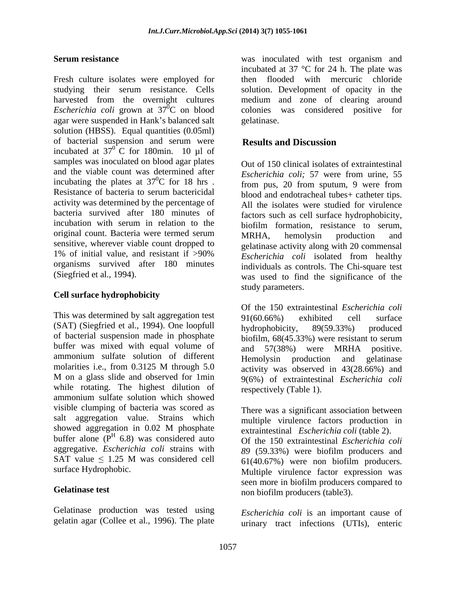Fresh culture isolates were employed for then studying their serum resistance. Cells solution. Development of opacity in the harvested from the overnight cultures medium and zone of clearing around *Escherichia coli* grown at  $37^{\overline{0}}$ C on blood colonies was agar were suspended in Hank's balanced salt gelatinase. solution (HBSS). Equal quantities (0.05ml) of bacterial suspension and serum were **Results and Discussion** incubated at  $37^\circ$ C for 180min. 10 µl of  $^{0}$ C for 180min. 10 µl of samples was inoculated on blood agar plates and the viable count was determined after <br>*Escherichia coli:* 57 were from urine, 55 incubating the plates at  $37^0C$  for 18 hrs . from pus, 20 from sputum, 9 were from Resistance of bacteria to serum bactericidal activity was determined by the percentage of bacteria survived after 180 minutes of incubation with serum in relation to the biofilm formation, resistance to serum, original count. Bacteria were termed serum MRHA hemolysin production and sensitive, wherever viable count dropped to 1% of initial value, and resistant if  $>90\%$  Escherichia coli isolated from healthy organisms survived after 180 minutes

### **Cell surface hydrophobicity**

This was determined by salt aggregation test  $91(60.66%)$  exhibited cell surface (SAT) (Siegfried et al., 1994). One loopfull hydrophobicity, 89(59.33%) produced of bacterial suspension made in phosphate buffer was mixed with equal volume of ammonium sulfate solution of different Hemolysin production and gelatinase M on a glass slide and observed for 1min while rotating. The highest dilution of ammonium sulfate solution which showed visible clumping of bacteria was scored as salt aggregation value. Strains which showed aggregation in  $0.02$  M phosphate extraintestinal *Escherichia coli* (table 2) buffer alone  $(P<sup>H</sup> 6.8)$  was considered auto aggregative. *Escherichia coli* strains with *89* (59.33%) were biofilm producers and SAT value  $\leq 1.25$  M was considered cell  $61(40.67\%)$  were non biofilm producers.

Gelatinase production was tested using gelatin agar (Collee et al., 1996). The plate

**Serum resistance was inoculated with test organism and**  ${}^{0}C$  on blood colonies was considered positive for incubated at 37 °C for 24 h. The plate was flooded with mercuric chloride considered positive for gelatinase.

## **Results and Discussion**

(Siegfried et al., 1994). was used to find the significance of the Out of 150 clinical isolates of extraintestinal *Escherichia coli;* 57 were from urine, 55 blood and endotracheal tubes+ catheter tips. All the isolates were studied for virulence factors such as cell surface hydrophobicity, MRHA, hemolysin production and gelatinase activity along with 20 commensal *Escherichia coli* isolated from healthy individuals as controls. The Chi-square test study parameters.

molarities i.e., from 0.3125 M through 5.0  $\qquad$  activity was observed in 43(28.66%) and Of the 150 extraintestinal *Escherichia coli* 91(60.66%) exhibited cell surface hydrophobicity, 89(59.33%) produced biofilm, 68(45.33%) were resistant to serum and 57(38%) were MRHA positive. Hemolysin production and gelatinase activity was observed in 43(28.66%) and 9(6%) of extraintestinal *Escherichia coli* respectively (Table 1).

6.8) was considered auto Of the 150 extraintestinal *Escherichia coli* surface Hydrophobic. Multiple virulence factor expression was Gelatinase test non biofilm producers (table3). There was a significant association between multiple virulence factors production in extraintestinal *Escherichia coli* (table 2). 61(40.67%) were non biofilm producers. seen more in biofilm producers compared to

> *Escherichia coli* is an important cause of urinary tract infections (UTIs), enteric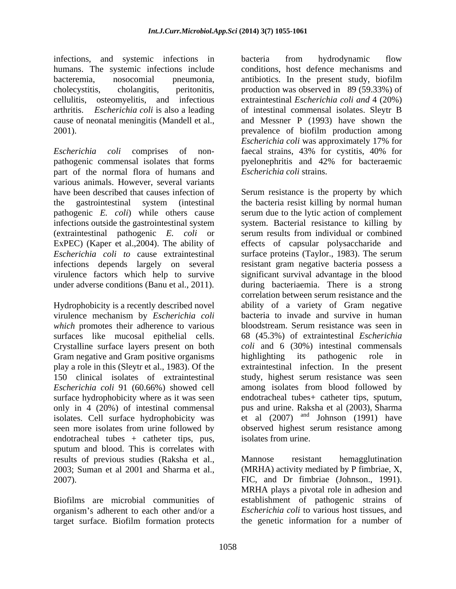infections, and systemic infections in cellulitis, osteomyelitis, and infectious

*Escherichia coli* comprises of non- faecal strains, 43% for cystitis, 40% for pathogenic commensal isolates that forms pyelonephritis and 42% for bacteraemic part of the normal flora of humans and various animals. However, several variants (extraintestinal pathogenic *E. coli* or serum results from individual or combined ExPEC) (Kaper et al., 2004). The ability of effects of capsular polysaccharide and

Hydrophobicity is a recently described novel virulence mechanism by *Escherichia coli which* promotes their adherence to various Crystalline surface layers present on both Gram negative and Gram positive organisms bighlighting its pathogenic role in isolates. Cell surface hydrophobicity was seen more isolates from urine followed by endotracheal tubes + catheter tips, pus, sputum and blood. This is correlates with results of previous studies (Raksha et al., 2003; Suman et al 2001 and Sharma et al., (MRHA) activity mediated by P fimbriae, X, 2007). FIC, and Dr fimbriae (Johnson., 1991).

organism's adherent to each other and/or a target surface. Biofilm formation protects

humans. The systemic infections include conditions, host defence mechanisms and bacteremia, nosocomial pneumonia, antibiotics. In the present study, biofilm cholecystitis, cholangitis, peritonitis, production was observed in 89 (59.33%) of arthritis. *Escherichia coli* is also a leading of intestinal commensal isolates. Sleytr B cause of neonatal meningitis (Mandell et al., and Messner P (1993) have shown the 2001). prevalence of biofilm production among bacteria from hydrodynamic flow extraintestinal *Escherichia coli and* 4 (20%) *Escherichia coli* was approximately 17% for *Escherichia coli* strains.

have been described that causes infection of Serum resistance is the property by which the gastrointestinal system (intestinal the bacteria resist killing by normal human pathogenic *E. coli*) while others cause serum due to the lytic action of complement infections outside the gastrointestinal system system. Bacterial resistance to killing by ExPEC) (Kaper et al., 2004). The ability of effects of capsular polysaccharide and *Escherichia coli to* cause extraintestinal surface proteins (Taylor., 1983). The serum infections depends largely on several resistant gram negative bacteria possess a virulence factors which help to survive significant survival advantage in the blood under adverse conditions (Banu et al., 2011). during bacteriaemia. There is a strong surfaces like mucosal epithelial cells. 68 (45.3%) of extraintestinal *Escherichia*  play a role in this (Sleytr et al., 1983). Of the extraintestinal infection. In the present 150 clinical isolates of extraintestinal study, highest serum resistance was seen *Escherichia coli* 91 (60.66%) showed cell among isolates from blood followed by surface hydrophobicity where as it was seen endotracheal tubes+ catheter tips, sputum, only in 4 (20%) of intestinal commensal pus and urine. Raksha et al (2003), Sharma serum results from individual or combined correlation between serum resistance and the ability of a variety of Gram negative bacteria to invade and survive in human bloodstream. Serum resistance was seen in *coli* and 6 (30%) intestinal commensals highlighting its pathogenic role in et al  $(2007)$  and Johnson  $(1991)$  have observed highest serum resistance among isolates from urine.

Biofilms are microbial communities of establishment of pathogenic strains of Mannose resistant hemagglutination MRHA plays a pivotal role in adhesion and *Escherichia coli* to various host tissues, and the genetic information for a number of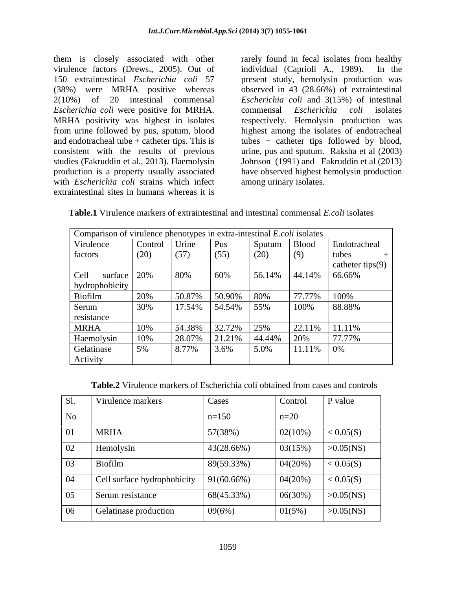them is closely associated with other virulence factors (Drews., 2005). Out of individual (Caprioli A., 1989). In the 2(10%) of 20 intestinal commensal *Escherichia coli* were positive for MRHA. with *Escherichia coli* strains which infect extraintestinal sites in humans whereas it is

150 extraintestinal *Escherichia coli* 57 present study, hemolysin production was (38%) were MRHA positive whereas observed in 43 (28.66%) of extraintestinal MRHA positivity was highest in isolates respectively. Hemolysin production was from urine followed by pus, sputum, blood highest among the isolates of endotracheal and endotracheal tube + catheter tips. This is tubes + catheter tips followed by blood, consistent with the results of previous urine, pus and sputum. Raksha et al (2003) studies (Fakruddin et al., 2013). Haemolysin Johnson (1991) and Fakruddin et al (2013) production is a property usually associated have observed highest hemolysin production rarely found in fecal isolates from healthy individual (Caprioli A.,  $1989$ ). *Escherichia coli* and 3(15%) of intestinal commensal *Escherichia coli* isolates among urinary isolates.

**Table.1** Virulence markers of extraintestinal and intestinal commensal *E.coli* isolates

|                      |         |                               |                       |                 | Comparison of virulence phenotypes in extra-intestinal E.coli isolates |               |                     |
|----------------------|---------|-------------------------------|-----------------------|-----------------|------------------------------------------------------------------------|---------------|---------------------|
| Virulence            |         | $\vert$ Control $\vert$ Urine |                       | Pus             | Sputum                                                                 | <b>Blood</b>  | Endotracheal        |
| factors              |         | (20)                          | (57)                  | (55)            | (20)                                                                   | (9)           | tubes               |
|                      |         |                               |                       |                 |                                                                        |               | catheter tips $(9)$ |
| Cell1                | surface | 20%                           | 80%                   | 60%             | 56.14%                                                                 |               | $44.14\%$ 66.66%    |
| hydrophobicity       |         |                               |                       |                 |                                                                        |               |                     |
| <b>Biofilm</b>       |         | 20%                           | 50.87%                | $ 50.90\% 80\%$ |                                                                        | 77.77%        | 100%                |
| Serum                |         | 30%                           | 17.54%   54.54%   55% |                 |                                                                        | 100%          | 88.88%              |
| resistance           |         |                               |                       |                 |                                                                        |               |                     |
| <b>MRHA</b>          |         | 10%                           | 54.38%                | 32.72%          | 25%                                                                    | 22.11%        | 11.11%              |
| Haemolysin           |         | 10%                           | 28.07%                | 21.21%          | 44.44%                                                                 | 20%           | 77.77%              |
| Gelatinase           |         | 5%                            | 8.77%                 | 3.6%            | 5.0%                                                                   | $11.11\%$ 0\% |                     |
| $\cdots$<br>Activity |         |                               |                       |                 |                                                                        |               |                     |

**Table.2** Virulence markers of Escherichia coli obtained from cases and controls

| C <sub>1</sub> | Virulence markers           | Cases      | Control | P value      |
|----------------|-----------------------------|------------|---------|--------------|
| No             |                             | $n=150$    | $n=20$  |              |
| 0 <sub>1</sub> | <b>MRHA</b>                 | 57(38%)    | 02(10%) | < 0.05(S)    |
| 02             | Hemolysin                   | 43(28.66%) | 03(15%) | $>0.05$ (NS) |
| 03             | Biofilm                     | 89(59.33%) | 04(20%) | < 0.05(S)    |
|                | Cell surface hydrophobicity | 91(60.66%) | 04(20%) | < 0.05(S)    |
| 05             | Serum resistance            | 68(45.33%) | 06(30%) | $>0.05$ (NS) |
| 06             | Gelatinase production       | 09(6%)     | 01(5%)  | $>0.05$ (NS) |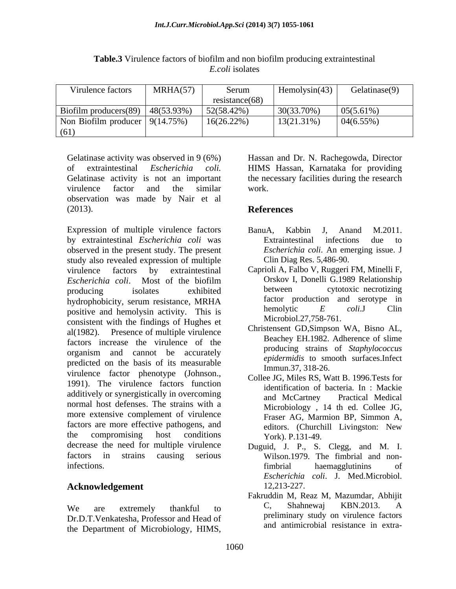| Virulence factors                         | MRHA(57) | Serum          | Hemolysin(43) | Gelatinase(9) |
|-------------------------------------------|----------|----------------|---------------|---------------|
|                                           |          | resistance(68) |               |               |
| Biofilm producers $(89)$   48 $(53.93\%)$ |          | 52(58.42%)     | $30(33.70\%)$ | 05(5.61%)     |
| Non Biofilm producer $9(14.75%)$          |          | $16(26.22\%)$  | $13(21.31\%)$ | 04(6.55%)     |
| (61)                                      |          |                |               |               |

**Table.3** Virulence factors of biofilm and non biofilm producing extraintestinal *E.coli* isolates

Gelatinase activity was observed in 9 (6%) Hassan and Dr. N. Rachegowda, Director of extraintestinal *Escherichia coli*. HIMS Hassan, Karnataka for providing<br>Gelatinase activity is not an important the necessary facilities during the research virulence factor and the similar work. observation was made by Nair et al  $\blacksquare$  (2013). **References** 

Expression of multiple virulence factors BanuA. Kabbin J. Anand M.2011. by extraintestinal *Escherichia coli* was observed in the present study. The present study also revealed expression of multiple virulence factors by extraintestinal Caprioli A, Falbo V, Ruggeri FM, Minelli F, *Escherichia coli*. Most of the biofilm<br> **Example 1989** Relationship<br> **Example 1989** Relationship<br> **Example 1989** Relationship<br> **Example 1989** Relationship<br> **Example 1989** Relationship<br> **Example 1989** Relationship producing isolates exhibited between cytotoxic necrotizing hydrophobicity, serum resistance, MRHA and factor production and serotype in  $S^{\text{inter}}$  colision and hemolysin activity. This is a hemolytic  $E$  colision  $E$  colision  $E$ positive and hemolysin activity. This is consistent with the findings of Hughes et al(1982). Presence of multiple virulence factors increase the virulence of the organism and cannot be accurately predicted on the basis of its measurable virulence factor phenotype (Johnson., 1991). The virulence factors function additively or synergistically in overcoming<br>and McCartney Practical Medical normal host defenses. The strains with a more extensive complement of virulence factors are more effective pathogens, and the compromising host conditions  $\gamma$  ork)  $P$ ,  $131-49$ . decrease the need for multiple virulence Duguid, J. P., S. Clegg, and M. I. factors in strains causing serious Wilson.1979. The fimbrial and noninfections. The intervention of the intervention of the intervention of the intervention of the intervention of Gridismus unitwity was observed in 9 (6%) Hassan and Dr. N. Rachegowda, Director<br>Gel extrainesinal Excherichia: coil. IIIMS Hassan, Karankaka for providing<br>virtues activity is not an important the necessary facilities dur

# **Acknowledgement** 12,213-227.

Dr.D.T.Venkatesha, Professor and Head of

HIMS Hassan, Karnataka for providing the necessary facilities during the research work.

# **References**

- BanuA, Kabbin J, Anand M.2011. Extraintestinal infections due to *Escherichia coli*. An emerging issue. J Clin Diag Res. 5,486-90.
- Orskov I, Donelli G.1989 Relationship between cytotoxic necrotizing factor production and serotype in hemolytic *E coli*.J Clin Microbiol.27,758-761.
- Christensent GD,Simpson WA, Bisno AL, Beachey EH.1982. Adherence of slime producing strains of *Staphylococcus epidermidis* to smooth surfaces.Infect Immun.37, 318-26.
- Collee JG, Miles RS, Watt B. 1996.Tests for identification of bacteria. In : Mackie and McCartney Practical Medical Microbiology , 14 th ed. Collee JG, Fraser AG, Marmion BP, Simmon A, editors. (Churchill Livingston: New York). P.131-49.
- fimbrial haemagglutinins of *Escherichia coli*. J. Med.Microbiol. 12,213-227.
- We are extremely thankful to  $C$ , Shahnewaj KBN.2013. A Fakruddin M, Reaz M, Mazumdar, Abhijit C, Shahnewaj KBN.2013. A preliminary study on virulence factors and antimicrobial resistance in extra-